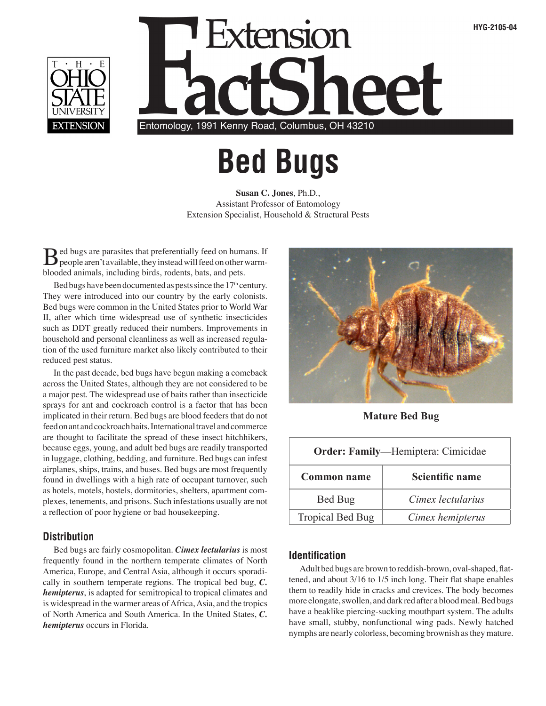



# **Bed Bugs**

**Susan C. Jones**, Ph.D., Assistant Professor of Entomology Extension Specialist, Household & Structural Pests

**B** ed bugs are parasites that preferentially feed on humans. If people aren't available, they instead will feed on other warmblooded animals, including birds, rodents, bats, and pets.

Bed bugs have been documented as pests since the  $17<sup>th</sup>$  century. They were introduced into our country by the early colonists. Bed bugs were common in the United States prior to World War II, after which time widespread use of synthetic insecticides such as DDT greatly reduced their numbers. Improvements in household and personal cleanliness as well as increased regulation of the used furniture market also likely contributed to their reduced pest status.

In the past decade, bed bugs have begun making a comeback across the United States, although they are not considered to be a major pest. The widespread use of baits rather than insecticide sprays for ant and cockroach control is a factor that has been implicated in their return. Bed bugs are blood feeders that do not feed on ant and cockroach baits. International travel and commerce are thought to facilitate the spread of these insect hitchhikers, because eggs, young, and adult bed bugs are readily transported in luggage, clothing, bedding, and furniture. Bed bugs can infest airplanes, ships, trains, and buses. Bed bugs are most frequently found in dwellings with a high rate of occupant turnover, such as hotels, motels, hostels, dormitories, shelters, apartment complexes, tenements, and prisons. Such infestations usually are not a reflection of poor hygiene or bad housekeeping.

## **Distribution**

Bed bugs are fairly cosmopolitan. *Cimex lectularius* is most frequently found in the northern temperate climates of North America, Europe, and Central Asia, although it occurs sporadically in southern temperate regions. The tropical bed bug, *C. hemipterus*, is adapted for semitropical to tropical climates and is widespread in the warmer areas of Africa, Asia, and the tropics of North America and South America. In the United States, *C. hemipterus* occurs in Florida.



**Mature Bed Bug** 

| <b>Order: Family</b> —Hemiptera: Cimicidae |                        |
|--------------------------------------------|------------------------|
| <b>Common name</b>                         | <b>Scientific name</b> |
| Bed Bug                                    | Cimex lectularius      |
| <b>Tropical Bed Bug</b>                    | Cimex hemipterus       |

## **Identification**

Adult bed bugs are brown to reddish-brown, oval-shaped, flattened, and about 3/16 to 1/5 inch long. Their flat shape enables them to readily hide in cracks and crevices. The body becomes more elongate, swollen, and dark red after a blood meal. Bed bugs have a beaklike piercing-sucking mouthpart system. The adults have small, stubby, nonfunctional wing pads. Newly hatched nymphs are nearly colorless, becoming brownish as they mature.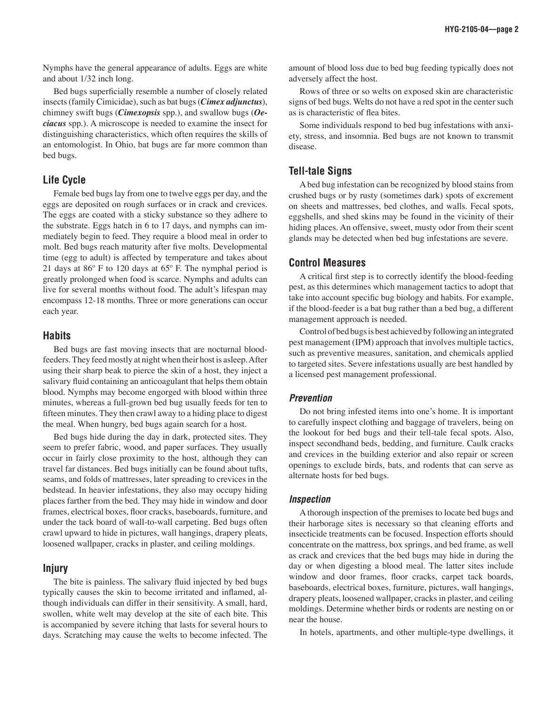Nymphs have the general appearance of adults. Eggs are white and about 1/32 inch long.

Bed bugs superficially resemble a number of closely related insects (family Cimicidae), such as bat bugs (*Cimex adjunctus*), chimney swift bugs (*Cimexopsis* spp.), and swallow bugs (*Oeciacus* spp.). A microscope is needed to examine the insect for distinguishing characteristics, which often requires the skills of an entomologist. In Ohio, bat bugs are far more common than bed bugs.

#### **Life Cycle**

Female bed bugs lay from one to twelve eggs per day, and the eggs are deposited on rough surfaces or in crack and crevices. The eggs are coated with a sticky substance so they adhere to the substrate. Eggs hatch in 6 to 17 days, and nymphs can immediately begin to feed. They require a blood meal in order to molt. Bed bugs reach maturity after five molts. Developmental time (egg to adult) is affected by temperature and takes about 21 days at 86º F to 120 days at 65º F. The nymphal period is greatly prolonged when food is scarce. Nymphs and adults can live for several months without food. The adult's lifespan may encompass 12-18 months. Three or more generations can occur each year.

#### **Habits**

Bed bugs are fast moving insects that are nocturnal bloodfeeders. They feed mostly at night when their host is asleep. After using their sharp beak to pierce the skin of a host, they inject a salivary fluid containing an anticoagulant that helps them obtain blood. Nymphs may become engorged with blood within three minutes, whereas a full-grown bed bug usually feeds for ten to fifteen minutes. They then crawl away to a hiding place to digest the meal. When hungry, bed bugs again search for a host.

Bed bugs hide during the day in dark, protected sites. They seem to prefer fabric, wood, and paper surfaces. They usually occur in fairly close proximity to the host, although they can travel far distances. Bed bugs initially can be found about tufts, seams, and folds of mattresses, later spreading to crevices in the bedstead. In heavier infestations, they also may occupy hiding places farther from the bed. They may hide in window and door frames, electrical boxes, floor cracks, baseboards, furniture, and under the tack board of wall-to-wall carpeting. Bed bugs often crawl upward to hide in pictures, wall hangings, drapery pleats, loosened wallpaper, cracks in plaster, and ceiling moldings.

## **Injury**

The bite is painless. The salivary fluid injected by bed bugs typically causes the skin to become irritated and inflamed, although individuals can differ in their sensitivity. A small, hard, swollen, white welt may develop at the site of each bite. This is accompanied by severe itching that lasts for several hours to days. Scratching may cause the welts to become infected. The

amount of blood loss due to bed bug feeding typically does not adversely affect the host.

Rows of three or so welts on exposed skin are characteristic signs of bed bugs. Welts do not have a red spot in the center such as is characteristic of flea bites.

Some individuals respond to bed bug infestations with anxiety, stress, and insomnia. Bed bugs are not known to transmit disease.

## **Tell-tale Signs**

A bed bug infestation can be recognized by blood stains from crushed bugs or by rusty (sometimes dark) spots of excrement on sheets and mattresses, bed clothes, and walls. Fecal spots, eggshells, and shed skins may be found in the vicinity of their hiding places. An offensive, sweet, musty odor from their scent glands may be detected when bed bug infestations are severe.

#### **Control Measures**

A critical first step is to correctly identify the blood-feeding pest, as this determines which management tactics to adopt that take into account specific bug biology and habits. For example, if the blood-feeder is a bat bug rather than a bed bug, a different management approach is needed.

Control of bed bugs is best achieved by following an integrated pest management (IPM) approach that involves multiple tactics, such as preventive measures, sanitation, and chemicals applied to targeted sites. Severe infestations usually are best handled by a licensed pest management professional.

#### **Prevention**

Do not bring infested items into one's home. It is important to carefully inspect clothing and baggage of travelers, being on the lookout for bed bugs and their tell-tale fecal spots. Also, inspect secondhand beds, bedding, and furniture. Caulk cracks and crevices in the building exterior and also repair or screen openings to exclude birds, bats, and rodents that can serve as alternate hosts for bed bugs.

#### **Inspection**

A thorough inspection of the premises to locate bed bugs and their harborage sites is necessary so that cleaning efforts and insecticide treatments can be focused. Inspection efforts should concentrate on the mattress, box springs, and bed frame, as well as crack and crevices that the bed bugs may hide in during the day or when digesting a blood meal. The latter sites include window and door frames, floor cracks, carpet tack boards, baseboards, electrical boxes, furniture, pictures, wall hangings, drapery pleats, loosened wallpaper, cracks in plaster, and ceiling moldings. Determine whether birds or rodents are nesting on or near the house.

In hotels, apartments, and other multiple-type dwellings, it